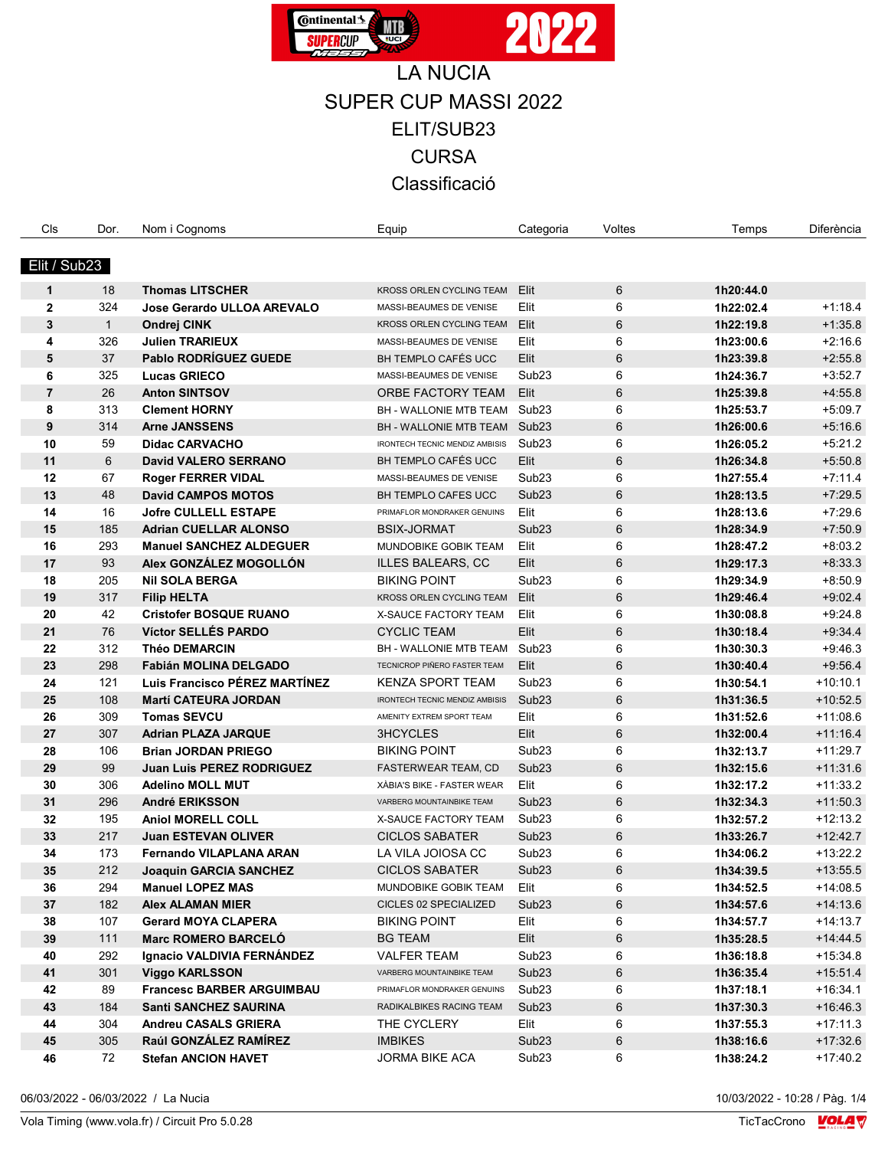

| Cls                      | Dor. | Nom i Cognoms                    | Equip                          | Categoria         | Voltes | Temps     | Diferència |
|--------------------------|------|----------------------------------|--------------------------------|-------------------|--------|-----------|------------|
|                          |      |                                  |                                |                   |        |           |            |
| Elit / Sub <sub>23</sub> |      |                                  |                                |                   |        |           |            |
| $\mathbf{1}$             | 18   | <b>Thomas LITSCHER</b>           | KROSS ORLEN CYCLING TEAM       | Elit              | 6      | 1h20:44.0 |            |
| $\mathbf{2}$             | 324  | Jose Gerardo ULLOA AREVALO       | MASSI-BEAUMES DE VENISE        | Elit              | 6      | 1h22:02.4 | $+1:18.4$  |
| 3                        | 1    | Ondrej CINK                      | KROSS ORLEN CYCLING TEAM       | Elit              | 6      | 1h22:19.8 | $+1:35.8$  |
| 4                        | 326  | <b>Julien TRARIEUX</b>           | MASSI-BEAUMES DE VENISE        | Elit              | 6      | 1h23:00.6 | $+2:16.6$  |
| 5                        | 37   | Pablo RODRÍGUEZ GUEDE            | BH TEMPLO CAFÉS UCC            | Elit              | 6      | 1h23:39.8 | $+2:55.8$  |
| 6                        | 325  | <b>Lucas GRIECO</b>              | MASSI-BEAUMES DE VENISE        | Sub <sub>23</sub> | 6      | 1h24:36.7 | $+3:52.7$  |
| $\overline{7}$           | 26   | <b>Anton SINTSOV</b>             | ORBE FACTORY TEAM              | Elit              | 6      | 1h25:39.8 | $+4.55.8$  |
| 8                        | 313  | <b>Clement HORNY</b>             | <b>BH - WALLONIE MTB TEAM</b>  | Sub <sub>23</sub> | 6      | 1h25:53.7 | $+5:09.7$  |
| 9                        | 314  | <b>Arne JANSSENS</b>             | <b>BH - WALLONIE MTB TEAM</b>  | Sub <sub>23</sub> | 6      | 1h26:00.6 | $+5:16.6$  |
| 10                       | 59   | <b>Didac CARVACHO</b>            | IRONTECH TECNIC MENDIZ AMBISIS | Sub <sub>23</sub> | 6      | 1h26:05.2 | $+5:21.2$  |
| 11                       | 6    | <b>David VALERO SERRANO</b>      | BH TEMPLO CAFÉS UCC            | Elit              | 6      | 1h26:34.8 | $+5.50.8$  |
| 12                       | 67   | <b>Roger FERRER VIDAL</b>        | MASSI-BEAUMES DE VENISE        | Sub <sub>23</sub> | 6      | 1h27:55.4 | $+7:11.4$  |
| 13                       | 48   | <b>David CAMPOS MOTOS</b>        | <b>BH TEMPLO CAFES UCC</b>     | Sub <sub>23</sub> | 6      | 1h28:13.5 | $+7.29.5$  |
| 14                       | 16   | <b>Jofre CULLELL ESTAPE</b>      | PRIMAFLOR MONDRAKER GENUINS    | Elit              | 6      | 1h28:13.6 | $+7.29.6$  |
| 15                       | 185  | <b>Adrian CUELLAR ALONSO</b>     | <b>BSIX-JORMAT</b>             | Sub <sub>23</sub> | 6      | 1h28:34.9 | $+7.50.9$  |
| 16                       | 293  | <b>Manuel SANCHEZ ALDEGUER</b>   | MUNDOBIKE GOBIK TEAM           | Elit              | 6      | 1h28:47.2 | $+8:03.2$  |
| 17                       | 93   | Alex GONZÁLEZ MOGOLLÓN           | <b>ILLES BALEARS, CC</b>       | Elit              | 6      | 1h29:17.3 | $+8.33.3$  |
| 18                       | 205  | <b>Nil SOLA BERGA</b>            | <b>BIKING POINT</b>            | Sub <sub>23</sub> | 6      | 1h29:34.9 | $+8.50.9$  |
| 19                       | 317  | <b>Filip HELTA</b>               | KROSS ORLEN CYCLING TEAM       | Elit              | 6      | 1h29:46.4 | $+9.02.4$  |
| 20                       | 42   | <b>Cristofer BOSQUE RUANO</b>    | <b>X-SAUCE FACTORY TEAM</b>    | Elit              | 6      | 1h30:08.8 | $+9.24.8$  |
| 21                       | 76   | Víctor SELLÉS PARDO              | <b>CYCLIC TEAM</b>             | Elit              | 6      | 1h30:18.4 | $+9.34.4$  |
| 22                       | 312  | <b>Théo DEMARCIN</b>             | BH - WALLONIE MTB TEAM         | Sub <sub>23</sub> | 6      | 1h30:30.3 | $+9.46.3$  |
| 23                       | 298  | Fabián MOLINA DELGADO            | TECNICROP PIÑERO FASTER TEAM   | Elit              | 6      | 1h30:40.4 | $+9.56.4$  |
| 24                       | 121  | Luis Francisco PÉREZ MARTÍNEZ    | <b>KENZA SPORT TEAM</b>        | Sub <sub>23</sub> | 6      | 1h30:54.1 | $+10:10.1$ |
| 25                       | 108  | <b>Martí CATEURA JORDAN</b>      | IRONTECH TECNIC MENDIZ AMBISIS | Sub <sub>23</sub> | 6      | 1h31:36.5 | $+10:52.5$ |
| 26                       | 309  | <b>Tomas SEVCU</b>               | AMENITY EXTREM SPORT TEAM      | Elit              | 6      | 1h31:52.6 | $+11:08.6$ |
| 27                       | 307  | <b>Adrian PLAZA JARQUE</b>       | 3HCYCLES                       | Elit              | 6      | 1h32:00.4 | $+11:16.4$ |
| 28                       | 106  | <b>Brian JORDAN PRIEGO</b>       | <b>BIKING POINT</b>            | Sub <sub>23</sub> | 6      | 1h32:13.7 | $+11.29.7$ |
| 29                       | 99   | <b>Juan Luis PEREZ RODRIGUEZ</b> | FASTERWEAR TEAM, CD            | Sub <sub>23</sub> | 6      | 1h32:15.6 | $+11:31.6$ |
| 30                       | 306  | <b>Adelino MOLL MUT</b>          | XÀBIA'S BIKE - FASTER WEAR     | Elit              | 6      | 1h32:17.2 | $+11:33.2$ |
| 31                       | 296  | André ERIKSSON                   | VARBERG MOUNTAINBIKE TEAM      | Sub <sub>23</sub> | 6      | 1h32:34.3 | $+11:50.3$ |
| 32                       | 195  | <b>Aniol MORELL COLL</b>         | X-SAUCE FACTORY TEAM           | Sub <sub>23</sub> | 6      | 1h32:57.2 | $+12:13.2$ |
| 33                       | 217  | <b>Juan ESTEVAN OLIVER</b>       | <b>CICLOS SABATER</b>          | Sub <sub>23</sub> | 6      | 1h33:26.7 | $+12:42.7$ |
| 34                       | 173  | <b>Fernando VILAPLANA ARAN</b>   | LA VILA JOIOSA CC              | Sub <sub>23</sub> | 6      | 1h34:06.2 | $+13:22.2$ |
| 35                       | 212  | <b>Joaquin GARCIA SANCHEZ</b>    | <b>CICLOS SABATER</b>          | Sub <sub>23</sub> | 6      | 1h34:39.5 | $+13:55.5$ |
| 36                       | 294  | <b>Manuel LOPEZ MAS</b>          | MUNDOBIKE GOBIK TEAM           | Elit              | 6      | 1h34:52.5 | +14:08.5   |
| 37                       | 182  | Alex ALAMAN MIER                 | CICLES 02 SPECIALIZED          | Sub <sub>23</sub> | 6      | 1h34:57.6 | $+14.13.6$ |
| 38                       | 107  | <b>Gerard MOYA CLAPERA</b>       | <b>BIKING POINT</b>            | Elit              | 6      | 1h34:57.7 | $+14:13.7$ |
| 39                       | 111  | <b>Marc ROMERO BARCELO</b>       | <b>BG TEAM</b>                 | Elit              | 6      | 1h35:28.5 | $+14.44.5$ |
| 40                       | 292  | Ignacio VALDIVIA FERNÁNDEZ       | <b>VALFER TEAM</b>             | Sub <sub>23</sub> | 6      | 1h36:18.8 | $+15.34.8$ |
| 41                       | 301  | <b>Viggo KARLSSON</b>            | VARBERG MOUNTAINBIKE TEAM      | Sub <sub>23</sub> | 6      | 1h36:35.4 | $+15.51.4$ |
| 42                       | 89   | <b>Francesc BARBER ARGUIMBAU</b> | PRIMAFLOR MONDRAKER GENUINS    | Sub <sub>23</sub> | 6      | 1h37:18.1 | $+16.34.1$ |
| 43                       | 184  | <b>Santi SANCHEZ SAURINA</b>     | RADIKALBIKES RACING TEAM       | Sub <sub>23</sub> | 6      | 1h37:30.3 | +16:46.3   |
| 44                       | 304  | Andreu CASALS GRIERA             | THE CYCLERY                    | Elit              | 6      | 1h37:55.3 | $+17:11.3$ |
| 45                       | 305  | Raúl GONZÁLEZ RAMÍREZ            | <b>IMBIKES</b>                 | Sub <sub>23</sub> | 6      | 1h38:16.6 | $+17:32.6$ |
| 46                       | 72   | <b>Stefan ANCION HAVET</b>       | <b>JORMA BIKE ACA</b>          | Sub <sub>23</sub> | 6      | 1h38:24.2 | $+17:40.2$ |
|                          |      |                                  |                                |                   |        |           |            |

06/03/2022 - 06/03/2022 / La Nucia

10/03/2022 - 10:28 / Pàg. 1/4<br>TicTacCrono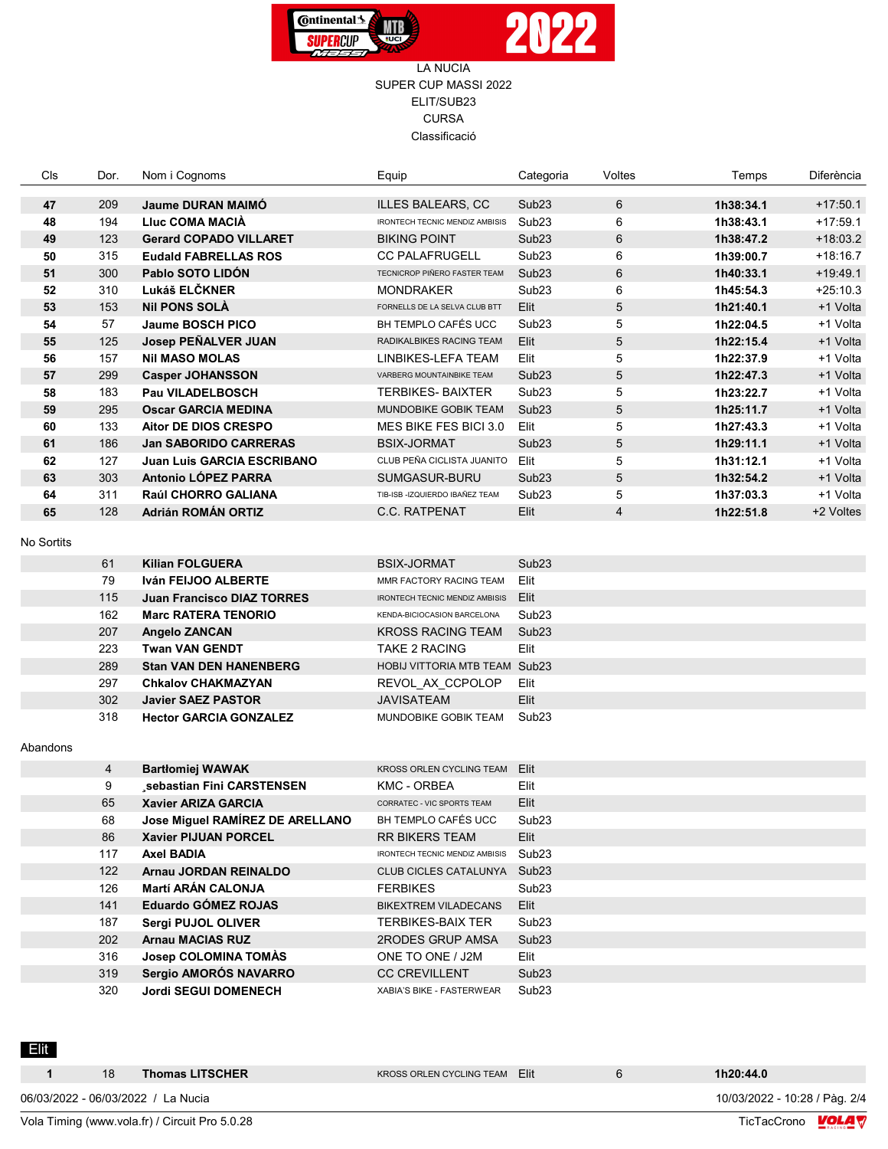

| Cls        | Dor.           | Nom i Cognoms                   | Equip                                 | Categoria         | Voltes         | Temps     | Diferència |
|------------|----------------|---------------------------------|---------------------------------------|-------------------|----------------|-----------|------------|
| 47         | 209            | <b>Jaume DURAN MAIMO</b>        | <b>ILLES BALEARS, CC</b>              | Sub <sub>23</sub> | 6              | 1h38:34.1 | $+17:50.1$ |
| 48         | 194            | Lluc COMA MACIA                 | <b>IRONTECH TECNIC MENDIZ AMBISIS</b> | Sub <sub>23</sub> | 6              | 1h38:43.1 | $+17:59.1$ |
| 49         | 123            | <b>Gerard COPADO VILLARET</b>   | <b>BIKING POINT</b>                   | Sub <sub>23</sub> | 6              | 1h38:47.2 | $+18:03.2$ |
| 50         | 315            | <b>Eudald FABRELLAS ROS</b>     | <b>CC PALAFRUGELL</b>                 | Sub <sub>23</sub> | 6              | 1h39:00.7 | $+18.16.7$ |
| 51         | 300            | Pablo SOTO LIDÓN                | TECNICROP PIÑERO FASTER TEAM          | Sub <sub>23</sub> | 6              | 1h40:33.1 | $+19.49.1$ |
| 52         | 310            | Lukáš ELČKNER                   | <b>MONDRAKER</b>                      | Sub <sub>23</sub> | 6              | 1h45:54.3 | $+25:10.3$ |
| 53         | 153            | <b>NII PONS SOLA</b>            | FORNELLS DE LA SELVA CLUB BTT         | Elit              | 5              | 1h21:40.1 | +1 Volta   |
| 54         | 57             | Jaume BOSCH PICO                | BH TEMPLO CAFÉS UCC                   | Sub <sub>23</sub> | 5              | 1h22:04.5 | +1 Volta   |
| 55         | 125            | Josep PEÑALVER JUAN             | RADIKALBIKES RACING TEAM              | Elit              | 5              | 1h22:15.4 | +1 Volta   |
| 56         | 157            | <b>Nil MASO MOLAS</b>           | LINBIKES-LEFA TEAM                    | Elit              | 5              | 1h22:37.9 | +1 Volta   |
| 57         | 299            | <b>Casper JOHANSSON</b>         | VARBERG MOUNTAINBIKE TEAM             | Sub <sub>23</sub> | 5              | 1h22:47.3 | +1 Volta   |
| 58         | 183            | Pau VILADELBOSCH                | TERBIKES- BAIXTER                     | Sub <sub>23</sub> | 5              | 1h23:22.7 | +1 Volta   |
| 59         | 295            | <b>Oscar GARCIA MEDINA</b>      | MUNDOBIKE GOBIK TEAM                  | Sub <sub>23</sub> | 5              | 1h25:11.7 | +1 Volta   |
| 60         | 133            | <b>Aitor DE DIOS CRESPO</b>     | MES BIKE FES BICI 3.0                 | Elit              | 5              | 1h27:43.3 | +1 Volta   |
| 61         | 186            | <b>Jan SABORIDO CARRERAS</b>    | <b>BSIX-JORMAT</b>                    | Sub <sub>23</sub> | 5              | 1h29:11.1 | +1 Volta   |
| 62         | 127            | Juan Luis GARCIA ESCRIBANO      | CLUB PEÑA CICLISTA JUANITO            | Elit              | 5              | 1h31:12.1 | +1 Volta   |
| 63         | 303            | Antonio LÓPEZ PARRA             | SUMGASUR-BURU                         | Sub <sub>23</sub> | 5              | 1h32:54.2 | +1 Volta   |
| 64         | 311            | Raúl CHORRO GALIANA             | TIB-ISB -IZQUIERDO IBAÑEZ TEAM        | Sub <sub>23</sub> | 5              | 1h37:03.3 | +1 Volta   |
| 65         | 128            | Adrián ROMÁN ORTIZ              | <b>C.C. RATPENAT</b>                  | Elit              | $\overline{4}$ | 1h22:51.8 | +2 Voltes  |
| No Sortits |                |                                 |                                       |                   |                |           |            |
|            | 61             | <b>Kilian FOLGUERA</b>          | <b>BSIX-JORMAT</b>                    | Sub <sub>23</sub> |                |           |            |
|            | 79             | Iván FEIJOO ALBERTE             | MMR FACTORY RACING TEAM               | Elit              |                |           |            |
|            | 115            | Juan Francisco DIAZ TORRES      | IRONTECH TECNIC MENDIZ AMBISIS        | Elit              |                |           |            |
|            | 162            | <b>Marc RATERA TENORIO</b>      | KENDA-BICIOCASION BARCELONA           | Sub <sub>23</sub> |                |           |            |
|            | 207            | <b>Angelo ZANCAN</b>            | <b>KROSS RACING TEAM</b>              | Sub <sub>23</sub> |                |           |            |
|            | 223            | <b>Twan VAN GENDT</b>           | <b>TAKE 2 RACING</b>                  | Elit              |                |           |            |
|            | 289            | <b>Stan VAN DEN HANENBERG</b>   | HOBIJ VITTORIA MTB TEAM Sub23         |                   |                |           |            |
|            | 297            | <b>Chkalov CHAKMAZYAN</b>       | REVOL AX CCPOLOP                      | Elit              |                |           |            |
|            | 302            | <b>Javier SAEZ PASTOR</b>       | <b>JAVISATEAM</b>                     | Elit              |                |           |            |
|            | 318            | <b>Hector GARCIA GONZALEZ</b>   | MUNDOBIKE GOBIK TEAM                  | Sub <sub>23</sub> |                |           |            |
| Abandons   |                |                                 |                                       |                   |                |           |            |
|            | $\overline{4}$ | <b>Bartłomiej WAWAK</b>         | KROSS ORLEN CYCLING TEAM              | Elit              |                |           |            |
|            | 9              | sebastian Fini CARSTENSEN       | <b>KMC - ORBEA</b>                    | Elit              |                |           |            |
|            | 65             | <b>Xavier ARIZA GARCIA</b>      | CORRATEC - VIC SPORTS TEAM            | Elit              |                |           |            |
|            | 68             | Jose Miguel RAMÍREZ DE ARELLANO | BH TEMPLO CAFÉS UCC                   | Sub <sub>23</sub> |                |           |            |
|            | 86             | <b>Xavier PIJUAN PORCEL</b>     | <b>RR BIKERS TEAM</b>                 | Elit              |                |           |            |
|            | 117            | <b>Axel BADIA</b>               | IRONTECH TECNIC MENDIZ AMBISIS        | Sub <sub>23</sub> |                |           |            |
|            | 122            | Arnau JORDAN REINALDO           | CLUB CICLES CATALUNYA Sub23           |                   |                |           |            |
|            | 126            | <b>Martí ARÁN CALONJA</b>       | <b>FERBIKES</b>                       | Sub <sub>23</sub> |                |           |            |
|            | 141            | Eduardo GÓMEZ ROJAS             | <b>BIKEXTREM VILADECANS</b>           | Elit              |                |           |            |
|            | 187            | Sergi PUJOL OLIVER              | TERBIKES-BAIX TER                     | Sub <sub>23</sub> |                |           |            |
|            | 202            | <b>Arnau MACIAS RUZ</b>         | 2RODES GRUP AMSA                      | Sub <sub>23</sub> |                |           |            |
|            | 316            | Josep COLOMINA TOMÀS            | ONE TO ONE / J2M                      | Elit              |                |           |            |
|            | 319            | Sergio AMORÓS NAVARRO           | <b>CC CREVILLENT</b>                  | Sub <sub>23</sub> |                |           |            |
|            | 320            | <b>Jordi SEGUI DOMENECH</b>     | XABIA'S BIKE - FASTERWEAR             | Sub <sub>23</sub> |                |           |            |

Elit

| 18 | <b>Thomas LITSCHER</b>                         | KROSS ORLEN CYCLING TEAM Flit |  | 1h20:44.0                     |  |
|----|------------------------------------------------|-------------------------------|--|-------------------------------|--|
|    | 06/03/2022 - 06/03/2022 / La Nucia             |                               |  | 10/03/2022 - 10:28 / Pàg. 2/4 |  |
|    | Vola Timing (www.vola.fr) / Circuit Pro 5.0.28 |                               |  | TicTacCrono <b>LOLA</b>       |  |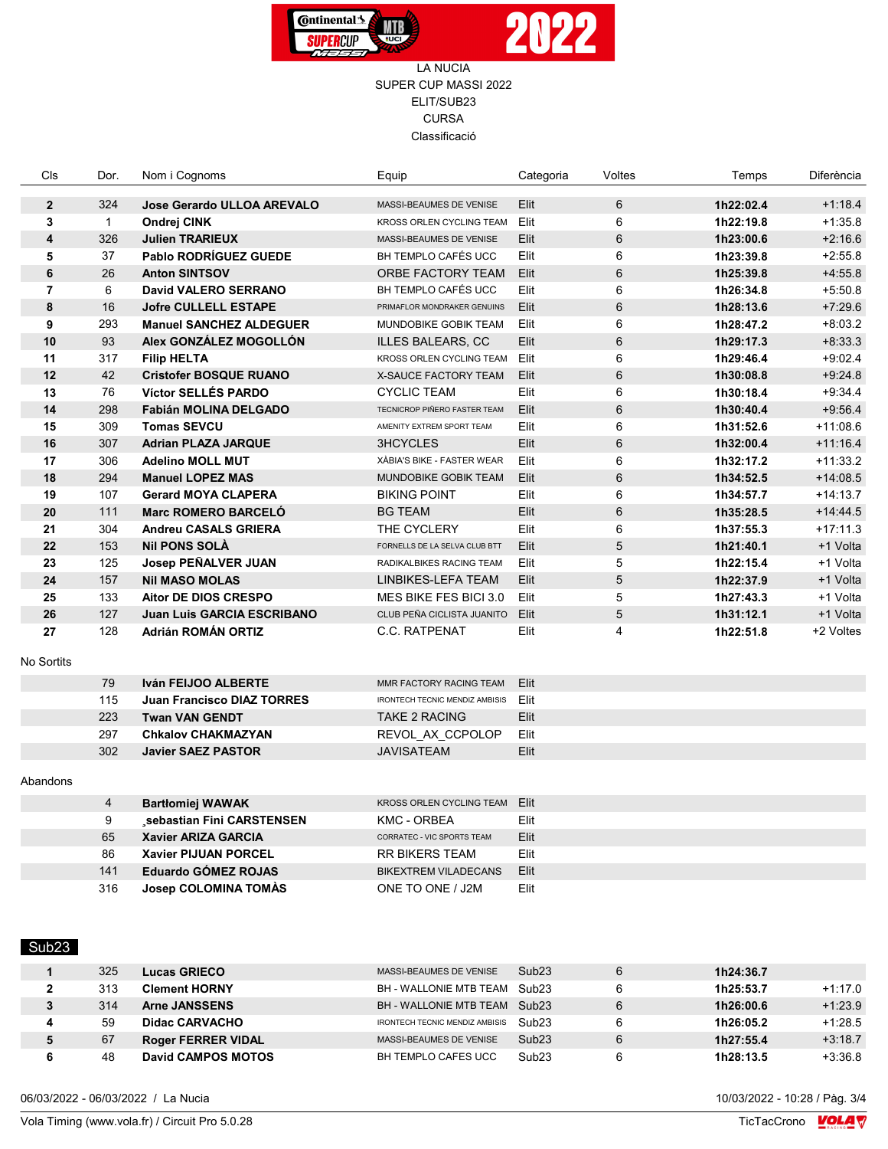

| Cls              | Dor.           | Nom i Cognoms                     | Equip                          | Categoria | Voltes         | Temps     | <b>Diferència</b> |
|------------------|----------------|-----------------------------------|--------------------------------|-----------|----------------|-----------|-------------------|
| $\overline{2}$   | 324            | <b>Jose Gerardo ULLOA AREVALO</b> | MASSI-BEAUMES DE VENISE        | Elit      | $6\phantom{1}$ | 1h22:02.4 | $+1.18.4$         |
| 3                | $\mathbf{1}$   | Ondrej CINK                       | KROSS ORLEN CYCLING TEAM       | Elit      | 6              | 1h22:19.8 | $+1:35.8$         |
| $\boldsymbol{4}$ | 326            | <b>Julien TRARIEUX</b>            | MASSI-BEAUMES DE VENISE        | Elit      | $6\phantom{1}$ | 1h23:00.6 | $+2.16.6$         |
| 5                | 37             | <b>Pablo RODRÍGUEZ GUEDE</b>      | BH TEMPLO CAFÉS UCC            | Elit      | 6              | 1h23:39.8 | $+2:55.8$         |
| $6\phantom{1}$   | 26             | <b>Anton SINTSOV</b>              | ORBE FACTORY TEAM              | Elit      | $6\phantom{1}$ | 1h25:39.8 | $+4.55.8$         |
| 7                | 6              | David VALERO SERRANO              | BH TEMPLO CAFÉS UCC            | Elit      | 6              | 1h26:34.8 | $+5.50.8$         |
| 8                | 16             | <b>Jofre CULLELL ESTAPE</b>       | PRIMAFLOR MONDRAKER GENUINS    | Elit      | $6\phantom{1}$ | 1h28:13.6 | $+7.29.6$         |
| 9                | 293            | <b>Manuel SANCHEZ ALDEGUER</b>    | MUNDOBIKE GOBIK TEAM           | Elit      | 6              | 1h28:47.2 | $+8:03.2$         |
| 10               | 93             | Alex GONZÁLEZ MOGOLLÓN            | <b>ILLES BALEARS, CC</b>       | Elit      | 6              | 1h29:17.3 | $+8.33.3$         |
| 11               | 317            | <b>Filip HELTA</b>                | KROSS ORLEN CYCLING TEAM       | Elit      | 6              | 1h29:46.4 | $+9:02.4$         |
| 12               | 42             | <b>Cristofer BOSQUE RUANO</b>     | <b>X-SAUCE FACTORY TEAM</b>    | Elit      | $6\phantom{1}$ | 1h30:08.8 | $+9.24.8$         |
| 13               | 76             | <b>Víctor SELLÉS PARDO</b>        | <b>CYCLIC TEAM</b>             | Elit      | 6              | 1h30:18.4 | $+9.34.4$         |
| 14               | 298            | <b>Fabián MOLINA DELGADO</b>      | TECNICROP PIÑERO FASTER TEAM   | Elit      | $6\phantom{1}$ | 1h30:40.4 | $+9.56.4$         |
| 15               | 309            | <b>Tomas SEVCU</b>                | AMENITY EXTREM SPORT TEAM      | Elit      | 6              | 1h31:52.6 | $+11:08.6$        |
| 16               | 307            | <b>Adrian PLAZA JARQUE</b>        | <b>3HCYCLES</b>                | Elit      | 6              | 1h32:00.4 | $+11:16.4$        |
| 17               | 306            | <b>Adelino MOLL MUT</b>           | XÀBIA'S BIKE - FASTER WEAR     | Elit      | 6              | 1h32:17.2 | $+11:33.2$        |
| 18               | 294            | <b>Manuel LOPEZ MAS</b>           | MUNDOBIKE GOBIK TEAM           | Elit      | $\,6\,$        | 1h34:52.5 | $+14:08.5$        |
| 19               | 107            | <b>Gerard MOYA CLAPERA</b>        | <b>BIKING POINT</b>            | Elit      | 6              | 1h34:57.7 | $+14:13.7$        |
| 20               | 111            | <b>Marc ROMERO BARCELÓ</b>        | <b>BG TEAM</b>                 | Elit      | $\,6\,$        | 1h35:28.5 | $+14.44.5$        |
| 21               | 304            | <b>Andreu CASALS GRIERA</b>       | THE CYCLERY                    | Elit      | 6              | 1h37:55.3 | $+17:11.3$        |
| 22               | 153            | <b>Nil PONS SOLA</b>              | FORNELLS DE LA SELVA CLUB BTT  | Elit      | 5              | 1h21:40.1 | +1 Volta          |
| 23               | 125            | Josep PEÑALVER JUAN               | RADIKALBIKES RACING TEAM       | Elit      | 5              | 1h22:15.4 | +1 Volta          |
| 24               | 157            | <b>Nil MASO MOLAS</b>             | LINBIKES-LEFA TEAM             | Elit      | $\sqrt{5}$     | 1h22:37.9 | +1 Volta          |
| 25               | 133            | Aitor DE DIOS CRESPO              | MES BIKE FES BICI 3.0          | Elit      | 5              | 1h27:43.3 | +1 Volta          |
| 26               | 127            | <b>Juan Luis GARCIA ESCRIBANO</b> | CLUB PEÑA CICLISTA JUANITO     | Elit      | 5              | 1h31:12.1 | +1 Volta          |
| 27               | 128            | Adrián ROMÁN ORTIZ                | C.C. RATPENAT                  | Elit      | 4              | 1h22:51.8 | +2 Voltes         |
| No Sortits       |                |                                   |                                |           |                |           |                   |
|                  | 79             | Iván FEIJOO ALBERTE               | MMR FACTORY RACING TEAM        | Elit      |                |           |                   |
|                  | 115            | Juan Francisco DIAZ TORRES        | IRONTECH TECNIC MENDIZ AMBISIS | Elit      |                |           |                   |
|                  | 223            | <b>Twan VAN GENDT</b>             | <b>TAKE 2 RACING</b>           | Elit      |                |           |                   |
|                  | 297            | <b>Chkalov CHAKMAZYAN</b>         | REVOL AX CCPOLOP               | Elit      |                |           |                   |
|                  | 302            | <b>Javier SAEZ PASTOR</b>         | <b>JAVISATEAM</b>              | Elit      |                |           |                   |
| Abandons         |                |                                   |                                |           |                |           |                   |
|                  | $\overline{4}$ | <b>Bartłomiej WAWAK</b>           | KROSS ORLEN CYCLING TEAM       | Elit      |                |           |                   |
|                  | 9              | sebastian Fini CARSTENSEN         | <b>KMC - ORBEA</b>             | Elit      |                |           |                   |
|                  | 65             | Xavier ARIZA GARCIA               | CORRATEC - VIC SPORTS TEAM     | Elit      |                |           |                   |
|                  | 86             | <b>Xavier PIJUAN PORCEL</b>       | <b>RR BIKERS TEAM</b>          | Elit      |                |           |                   |
|                  | 141            | <b>Eduardo GÓMEZ ROJAS</b>        | <b>BIKEXTREM VILADECANS</b>    | Elit      |                |           |                   |
|                  | 316            | <b>Josep COLOMINA TOMAS</b>       | ONE TO ONE / J2M               | Elit      |                |           |                   |
|                  |                |                                   |                                |           |                |           |                   |

Sub23

|   | 325 | Lucas GRIECO              | MASSI-BEAUMES DE VENISE               | Sub <sub>23</sub> | 1h24:36.7              |
|---|-----|---------------------------|---------------------------------------|-------------------|------------------------|
| 2 | 313 | <b>Clement HORNY</b>      | BH - WALLONIE MTB TEAM Sub23          |                   | 1h25:53.7<br>$+1:17.0$ |
| 3 | 314 | <b>Arne JANSSENS</b>      | BH - WALLONIE MTB TEAM Sub23          |                   | $+1.23.9$<br>1h26:00.6 |
| 4 | 59  | Didac CARVACHO            | <b>IRONTECH TECNIC MENDIZ AMBISIS</b> | Sub23             | 1h26:05.2<br>$+1:28.5$ |
| 5 | 67  | <b>Roger FERRER VIDAL</b> | MASSI-BEAUMES DE VENISE               | Sub <sub>23</sub> | $+3:18.7$<br>1h27:55.4 |
|   | 48  | David CAMPOS MOTOS        | BH TEMPLO CAFES UCC                   | Sub <sub>23</sub> | $+3:36.8$<br>1h28:13.5 |

06/03/2022 - 06/03/2022 / La Nucia